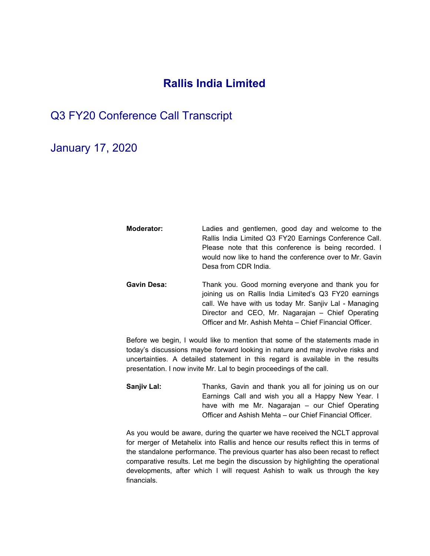## **Rallis India Limited**

## Q3 FY20 Conference Call Transcript

January 17, 2020

**Moderator:** Ladies and gentlemen, good day and welcome to the Rallis India Limited Q3 FY20 Earnings Conference Call. Please note that this conference is being recorded. I would now like to hand the conference over to Mr. Gavin Desa from CDR India. **Gavin Desa:** Thank you. Good morning everyone and thank you for joining us on Rallis India Limited's Q3 FY20 earnings call. We have with us today Mr. Sanjiv Lal - Managing

> Director and CEO, Mr. Nagarajan – Chief Operating Officer and Mr. Ashish Mehta – Chief Financial Officer.

Before we begin, I would like to mention that some of the statements made in today's discussions maybe forward looking in nature and may involve risks and uncertainties. A detailed statement in this regard is available in the results presentation. I now invite Mr. Lal to begin proceedings of the call.

**Sanjiv Lal:** Thanks, Gavin and thank you all for joining us on our Earnings Call and wish you all a Happy New Year. I have with me Mr. Nagarajan – our Chief Operating Officer and Ashish Mehta – our Chief Financial Officer.

As you would be aware, during the quarter we have received the NCLT approval for merger of Metahelix into Rallis and hence our results reflect this in terms of the standalone performance. The previous quarter has also been recast to reflect comparative results. Let me begin the discussion by highlighting the operational developments, after which I will request Ashish to walk us through the key financials.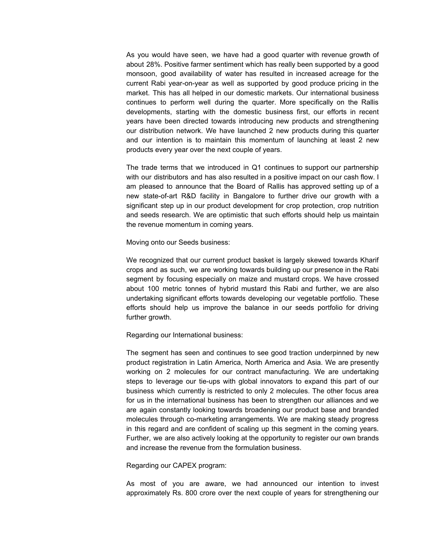As you would have seen, we have had a good quarter with revenue growth of about 28%. Positive farmer sentiment which has really been supported by a good monsoon, good availability of water has resulted in increased acreage for the current Rabi year-on-year as well as supported by good produce pricing in the market. This has all helped in our domestic markets. Our international business continues to perform well during the quarter. More specifically on the Rallis developments, starting with the domestic business first, our efforts in recent years have been directed towards introducing new products and strengthening our distribution network. We have launched 2 new products during this quarter and our intention is to maintain this momentum of launching at least 2 new products every year over the next couple of years.

The trade terms that we introduced in Q1 continues to support our partnership with our distributors and has also resulted in a positive impact on our cash flow. I am pleased to announce that the Board of Rallis has approved setting up of a new state-of-art R&D facility in Bangalore to further drive our growth with a significant step up in our product development for crop protection, crop nutrition and seeds research. We are optimistic that such efforts should help us maintain the revenue momentum in coming years.

Moving onto our Seeds business:

We recognized that our current product basket is largely skewed towards Kharif crops and as such, we are working towards building up our presence in the Rabi segment by focusing especially on maize and mustard crops. We have crossed about 100 metric tonnes of hybrid mustard this Rabi and further, we are also undertaking significant efforts towards developing our vegetable portfolio. These efforts should help us improve the balance in our seeds portfolio for driving further growth.

Regarding our International business:

The segment has seen and continues to see good traction underpinned by new product registration in Latin America, North America and Asia. We are presently working on 2 molecules for our contract manufacturing. We are undertaking steps to leverage our tie-ups with global innovators to expand this part of our business which currently is restricted to only 2 molecules. The other focus area for us in the international business has been to strengthen our alliances and we are again constantly looking towards broadening our product base and branded molecules through co-marketing arrangements. We are making steady progress in this regard and are confident of scaling up this segment in the coming years. Further, we are also actively looking at the opportunity to register our own brands and increase the revenue from the formulation business.

Regarding our CAPEX program:

As most of you are aware, we had announced our intention to invest approximately Rs. 800 crore over the next couple of years for strengthening our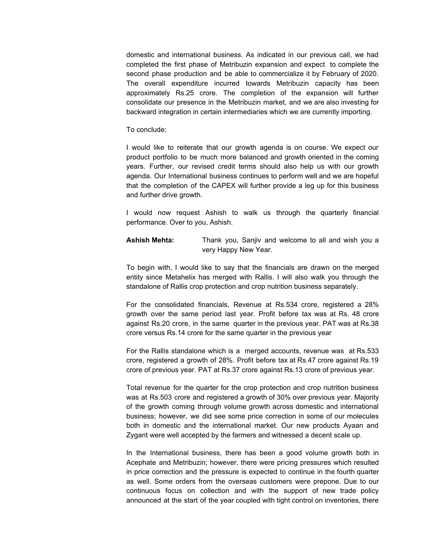domestic and international business. As indicated in our previous call, we had completed the first phase of Metribuzin expansion and expect to complete the second phase production and be able to commercialize it by February of 2020. The overall expenditure incurred towards Metribuzin capacity has been approximately Rs.25 crore. The completion of the expansion will further consolidate our presence in the Metribuzin market, and we are also investing for backward integration in certain intermediaries which we are currently importing.

## To conclude:

I would like to reiterate that our growth agenda is on course. We expect our product portfolio to be much more balanced and growth oriented in the coming years. Further, our revised credit terms should also help us with our growth agenda. Our International business continues to perform well and we are hopeful that the completion of the CAPEX will further provide a leg up for this business and further drive growth.

I would now request Ashish to walk us through the quarterly financial performance. Over to you, Ashish.

**Ashish Mehta:** Thank you, Sanjiv and welcome to all and wish you a very Happy New Year.

To begin with, I would like to say that the financials are drawn on the merged entity since Metahelix has merged with Rallis. I will also walk you through the standalone of Rallis crop protection and crop nutrition business separately.

For the consolidated financials, Revenue at Rs.534 crore, registered a 28% growth over the same period last year. Profit before tax was at Rs. 48 crore against Rs.20 crore, in the same quarter in the previous year. PAT was at Rs.38 crore versus Rs.14 crore for the same quarter in the previous year

For the Rallis standalone which is a merged accounts, revenue was at Rs.533 crore, registered a growth of 28%. Profit before tax at Rs.47 crore against Rs.19 crore of previous year. PAT at Rs.37 crore against Rs.13 crore of previous year.

Total revenue for the quarter for the crop protection and crop nutrition business was at Rs.503 crore and registered a growth of 30% over previous year. Majority of the growth coming through volume growth across domestic and international business; however, we did see some price correction in some of our molecules both in domestic and the international market. Our new products Ayaan and Zygant were well accepted by the farmers and witnessed a decent scale up.

In the International business, there has been a good volume growth both in Acephate and Metribuzin; however, there were pricing pressures which resulted in price correction and the pressure is expected to continue in the fourth quarter as well. Some orders from the overseas customers were prepone. Due to our continuous focus on collection and with the support of new trade policy announced at the start of the year coupled with tight control on inventories, there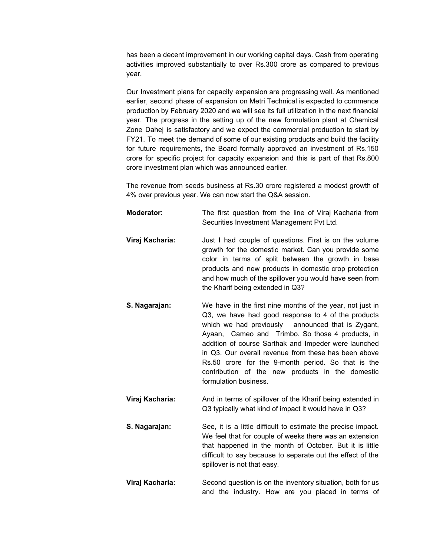has been a decent improvement in our working capital days. Cash from operating activities improved substantially to over Rs.300 crore as compared to previous year.

Our Investment plans for capacity expansion are progressing well. As mentioned earlier, second phase of expansion on Metri Technical is expected to commence production by February 2020 and we will see its full utilization in the next financial year. The progress in the setting up of the new formulation plant at Chemical Zone Dahej is satisfactory and we expect the commercial production to start by FY21. To meet the demand of some of our existing products and build the facility for future requirements, the Board formally approved an investment of Rs.150 crore for specific project for capacity expansion and this is part of that Rs.800 crore investment plan which was announced earlier.

The revenue from seeds business at Rs.30 crore registered a modest growth of 4% over previous year. We can now start the Q&A session.

| Moderator:      | The first question from the line of Viraj Kacharia from<br>Securities Investment Management Pvt Ltd.                                                                                                                                                                                                                                                                                                                                                                        |
|-----------------|-----------------------------------------------------------------------------------------------------------------------------------------------------------------------------------------------------------------------------------------------------------------------------------------------------------------------------------------------------------------------------------------------------------------------------------------------------------------------------|
| Viraj Kacharia: | Just I had couple of questions. First is on the volume<br>growth for the domestic market. Can you provide some<br>color in terms of split between the growth in base<br>products and new products in domestic crop protection<br>and how much of the spillover you would have seen from<br>the Kharif being extended in Q3?                                                                                                                                                 |
| S. Nagarajan:   | We have in the first nine months of the year, not just in<br>Q3, we have had good response to 4 of the products<br>which we had previously announced that is Zygant,<br>Ayaan, Cameo and Trimbo. So those 4 products, in<br>addition of course Sarthak and Impeder were launched<br>in Q3. Our overall revenue from these has been above<br>Rs.50 crore for the 9-month period. So that is the<br>contribution of the new products in the domestic<br>formulation business. |
| Viraj Kacharia: | And in terms of spillover of the Kharif being extended in<br>Q3 typically what kind of impact it would have in Q3?                                                                                                                                                                                                                                                                                                                                                          |
| S. Nagarajan:   | See, it is a little difficult to estimate the precise impact.<br>We feel that for couple of weeks there was an extension<br>that happened in the month of October. But it is little<br>difficult to say because to separate out the effect of the<br>spillover is not that easy.                                                                                                                                                                                            |
|                 |                                                                                                                                                                                                                                                                                                                                                                                                                                                                             |

**Viraj Kacharia:** Second question is on the inventory situation, both for us and the industry. How are you placed in terms of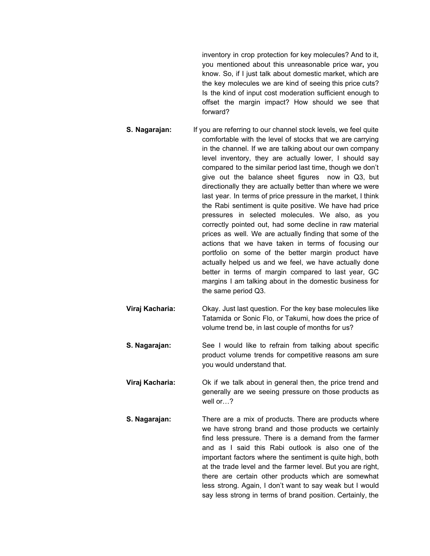inventory in crop protection for key molecules? And to it, you mentioned about this unreasonable price war**,** you know. So, if I just talk about domestic market, which are the key molecules we are kind of seeing this price cuts? Is the kind of input cost moderation sufficient enough to offset the margin impact? How should we see that forward?

- **S. Nagarajan:** If you are referring to our channel stock levels, we feel quite comfortable with the level of stocks that we are carrying in the channel. If we are talking about our own company level inventory, they are actually lower, I should say compared to the similar period last time, though we don't give out the balance sheet figures now in Q3, but directionally they are actually better than where we were last year. In terms of price pressure in the market, I think the Rabi sentiment is quite positive. We have had price pressures in selected molecules. We also, as you correctly pointed out, had some decline in raw material prices as well. We are actually finding that some of the actions that we have taken in terms of focusing our portfolio on some of the better margin product have actually helped us and we feel, we have actually done better in terms of margin compared to last year, GC margins I am talking about in the domestic business for the same period Q3.
- **Viraj Kacharia:** Okay. Just last question. For the key base molecules like Tatamida or Sonic Flo, or Takumi, how does the price of volume trend be, in last couple of months for us?
- **S. Nagarajan:** See I would like to refrain from talking about specific product volume trends for competitive reasons am sure you would understand that.
- **Viraj Kacharia:** Ok if we talk about in general then, the price trend and generally are we seeing pressure on those products as well or…?
- **S. Nagarajan:** There are a mix of products. There are products where we have strong brand and those products we certainly find less pressure. There is a demand from the farmer and as I said this Rabi outlook is also one of the important factors where the sentiment is quite high, both at the trade level and the farmer level. But you are right, there are certain other products which are somewhat less strong. Again, I don't want to say weak but I would say less strong in terms of brand position. Certainly, the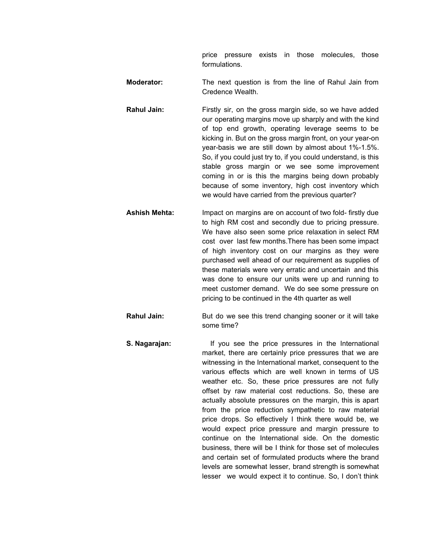price pressure exists in those molecules, those formulations.

- **Moderator:** The next question is from the line of Rahul Jain from Credence Wealth.
- **Rahul Jain:** Firstly sir, on the gross margin side, so we have added our operating margins move up sharply and with the kind of top end growth, operating leverage seems to be kicking in. But on the gross margin front, on your year-on year-basis we are still down by almost about 1%-1.5%. So, if you could just try to, if you could understand, is this stable gross margin or we see some improvement coming in or is this the margins being down probably because of some inventory, high cost inventory which we would have carried from the previous quarter?
- **Ashish Mehta:** Impact on margins are on account of two fold- firstly due to high RM cost and secondly due to pricing pressure. We have also seen some price relaxation in select RM cost over last few months.There has been some impact of high inventory cost on our margins as they were purchased well ahead of our requirement as supplies of these materials were very erratic and uncertain and this was done to ensure our units were up and running to meet customer demand. We do see some pressure on pricing to be continued in the 4th quarter as well
- **Rahul Jain:** But do we see this trend changing sooner or it will take some time?
- **S. Nagarajan:** If you see the price pressures in the International market, there are certainly price pressures that we are witnessing in the International market, consequent to the various effects which are well known in terms of US weather etc. So, these price pressures are not fully offset by raw material cost reductions. So, these are actually absolute pressures on the margin, this is apart from the price reduction sympathetic to raw material price drops. So effectively I think there would be, we would expect price pressure and margin pressure to continue on the International side. On the domestic business, there will be I think for those set of molecules and certain set of formulated products where the brand levels are somewhat lesser, brand strength is somewhat lesser we would expect it to continue. So, I don't think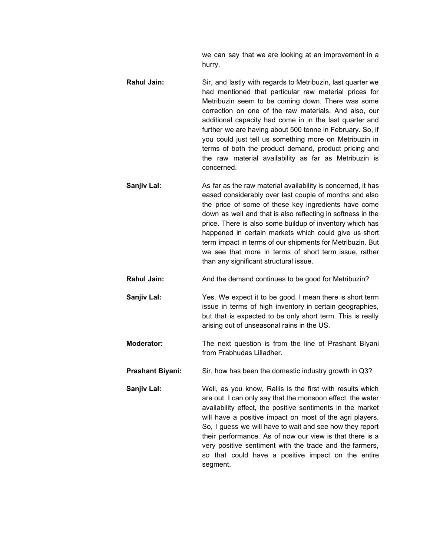we can say that we are looking at an improvement in a hurry.

- **Rahul Jain:** Sir, and lastly with regards to Metribuzin, last quarter we had mentioned that particular raw material prices for Metribuzin seem to be coming down. There was some correction on one of the raw materials. And also, our additional capacity had come in in the last quarter and further we are having about 500 tonne in February. So, if you could just tell us something more on Metribuzin in terms of both the product demand, product pricing and the raw material availability as far as Metribuzin is concerned.
	- **Sanjiv Lal:** As far as the raw material availability is concerned, it has eased considerably over last couple of months and also the price of some of these key ingredients have come down as well and that is also reflecting in softness in the price. There is also some buildup of inventory which has happened in certain markets which could give us short term impact in terms of our shipments for Metribuzin. But we see that more in terms of short term issue, rather than any significant structural issue.
	- **Rahul Jain:** And the demand continues to be good for Metribuzin?
	- **Sanjiv Lal:** Yes. We expect it to be good. I mean there is short term issue in terms of high inventory in certain geographies, but that is expected to be only short term. This is really arising out of unseasonal rains in the US.
	- **Moderator:** The next question is from the line of Prashant Bìyani from Prabhudas Lilladher.
- **Prashant Biyani:** Sir, how has been the domestic industry growth in Q3?
- **Sanjiv Lal:** Well, as you know, Rallis is the first with results which are out. I can only say that the monsoon effect, the water availability effect, the positive sentiments in the market will have a positive impact on most of the agri players. So, I guess we will have to wait and see how they report their performance. As of now our view is that there is a very positive sentiment with the trade and the farmers, so that could have a positive impact on the entire segment.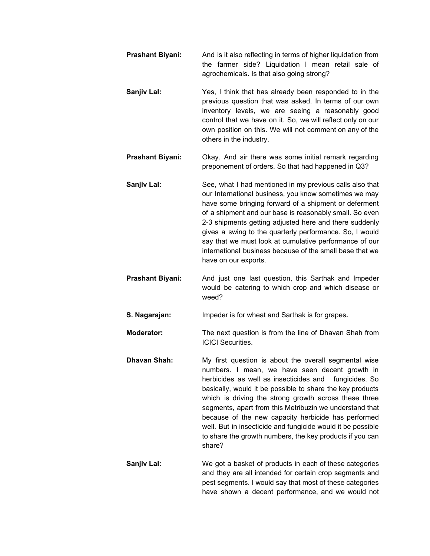- **Prashant Biyani:** And is it also reflecting in terms of higher liquidation from the farmer side? Liquidation I mean retail sale of agrochemicals. Is that also going strong?
- **Sanjiv Lal:** Yes, I think that has already been responded to in the previous question that was asked. In terms of our own inventory levels, we are seeing a reasonably good control that we have on it. So, we will reflect only on our own position on this. We will not comment on any of the others in the industry.
- **Prashant Biyani:** Okay. And sir there was some initial remark regarding preponement of orders. So that had happened in Q3?
- **Sanjiv Lal:** See, what I had mentioned in my previous calls also that our International business, you know sometimes we may have some bringing forward of a shipment or deferment of a shipment and our base is reasonably small. So even 2-3 shipments getting adjusted here and there suddenly gives a swing to the quarterly performance. So, I would say that we must look at cumulative performance of our international business because of the small base that we have on our exports.
- **Prashant Biyani:** And just one last question, this Sarthak and Impeder would be catering to which crop and which disease or weed?
- **S. Nagarajan:** Impeder is for wheat and Sarthak is for grapes**.**

**Moderator:** The next question is from the line of Dhavan Shah from ICICI Securities.

- **Dhavan Shah:** My first question is about the overall segmental wise numbers. I mean, we have seen decent growth in herbicides as well as insecticides and fungicides. So basically, would it be possible to share the key products which is driving the strong growth across these three segments, apart from this Metribuzin we understand that because of the new capacity herbicide has performed well. But in insecticide and fungicide would it be possible to share the growth numbers, the key products if you can share?
- **Sanjiv Lal:** We got a basket of products in each of these categories and they are all intended for certain crop segments and pest segments. I would say that most of these categories have shown a decent performance, and we would not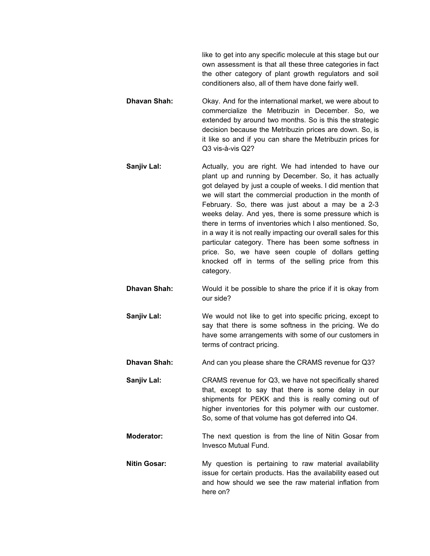like to get into any specific molecule at this stage but our own assessment is that all these three categories in fact the other category of plant growth regulators and soil conditioners also, all of them have done fairly well.

- **Dhavan Shah:** Okay. And for the international market, we were about to commercialize the Metribuzin in December. So, we extended by around two months. So is this the strategic decision because the Metribuzin prices are down. So, is it like so and if you can share the Metribuzin prices for Q3 vis-à-vis Q2?
- **Sanjiv Lal:** Actually, you are right. We had intended to have our plant up and running by December. So, it has actually got delayed by just a couple of weeks. I did mention that we will start the commercial production in the month of February. So, there was just about a may be a 2-3 weeks delay. And yes, there is some pressure which is there in terms of inventories which I also mentioned. So, in a way it is not really impacting our overall sales for this particular category. There has been some softness in price. So, we have seen couple of dollars getting knocked off in terms of the selling price from this category.
- **Dhavan Shah:** Would it be possible to share the price if it is okay from our side?
- **Sanjiv Lal:** We would not like to get into specific pricing, except to say that there is some softness in the pricing. We do have some arrangements with some of our customers in terms of contract pricing.
- **Dhavan Shah:** And can you please share the CRAMS revenue for Q3?
- **Sanjiv Lal:** CRAMS revenue for Q3, we have not specifically shared that, except to say that there is some delay in our shipments for PEKK and this is really coming out of higher inventories for this polymer with our customer. So, some of that volume has got deferred into Q4.
- **Moderator:** The next question is from the line of Nitin Gosar from Invesco Mutual Fund.
- **Nitin Gosar:** My question is pertaining to raw material availability issue for certain products. Has the availability eased out and how should we see the raw material inflation from here on?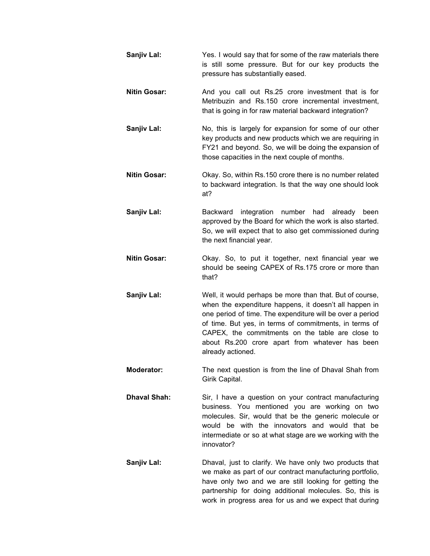| Sanjiv Lal:         | Yes. I would say that for some of the raw materials there<br>is still some pressure. But for our key products the<br>pressure has substantially eased.                                                                                                                                                                                                                |
|---------------------|-----------------------------------------------------------------------------------------------------------------------------------------------------------------------------------------------------------------------------------------------------------------------------------------------------------------------------------------------------------------------|
| <b>Nitin Gosar:</b> | And you call out Rs.25 crore investment that is for<br>Metribuzin and Rs.150 crore incremental investment,<br>that is going in for raw material backward integration?                                                                                                                                                                                                 |
| Sanjiv Lal:         | No, this is largely for expansion for some of our other<br>key products and new products which we are requiring in<br>FY21 and beyond. So, we will be doing the expansion of<br>those capacities in the next couple of months.                                                                                                                                        |
| <b>Nitin Gosar:</b> | Okay. So, within Rs.150 crore there is no number related<br>to backward integration. Is that the way one should look<br>at?                                                                                                                                                                                                                                           |
| Sanjiv Lal:         | integration number had already<br>Backward<br>been<br>approved by the Board for which the work is also started.<br>So, we will expect that to also get commissioned during<br>the next financial year.                                                                                                                                                                |
| <b>Nitin Gosar:</b> | Okay. So, to put it together, next financial year we<br>should be seeing CAPEX of Rs.175 crore or more than<br>that?                                                                                                                                                                                                                                                  |
| Sanjiv Lal:         | Well, it would perhaps be more than that. But of course,<br>when the expenditure happens, it doesn't all happen in<br>one period of time. The expenditure will be over a period<br>of time. But yes, in terms of commitments, in terms of<br>CAPEX, the commitments on the table are close to<br>about Rs.200 crore apart from whatever has been<br>already actioned. |
| <b>Moderator:</b>   | The next question is from the line of Dhaval Shah from<br>Girik Capital.                                                                                                                                                                                                                                                                                              |
| <b>Dhaval Shah:</b> | Sir, I have a question on your contract manufacturing<br>business. You mentioned you are working on two<br>molecules. Sir, would that be the generic molecule or<br>would be with the innovators and would that be<br>intermediate or so at what stage are we working with the<br>innovator?                                                                          |
| Sanjiv Lal:         | Dhaval, just to clarify. We have only two products that<br>we make as part of our contract manufacturing portfolio,<br>have only two and we are still looking for getting the<br>partnership for doing additional molecules. So, this is                                                                                                                              |

work in progress area for us and we expect that during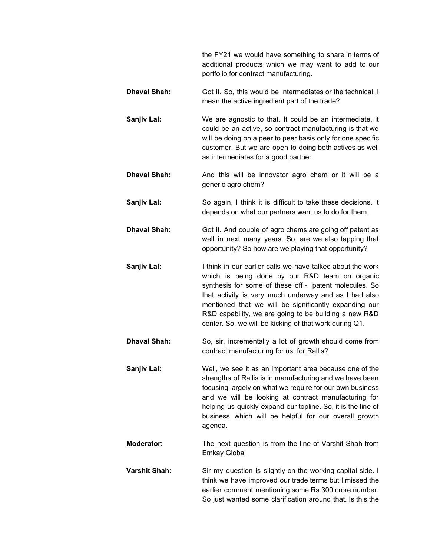the FY21 we would have something to share in terms of additional products which we may want to add to our portfolio for contract manufacturing.

- **Dhaval Shah:** Got it. So, this would be intermediates or the technical, I mean the active ingredient part of the trade?
- **Sanjiv Lal:** We are agnostic to that. It could be an intermediate, it could be an active, so contract manufacturing is that we will be doing on a peer to peer basis only for one specific customer. But we are open to doing both actives as well as intermediates for a good partner.
- **Dhaval Shah:** And this will be innovator agro chem or it will be a generic agro chem?
- **Sanjiv Lal:** So again, I think it is difficult to take these decisions. It depends on what our partners want us to do for them.
- **Dhaval Shah:** Got it. And couple of agro chems are going off patent as well in next many years. So, are we also tapping that opportunity? So how are we playing that opportunity?
- **Sanjiv Lal:** I think in our earlier calls we have talked about the work which is being done by our R&D team on organic synthesis for some of these off - patent molecules. So that activity is very much underway and as I had also mentioned that we will be significantly expanding our R&D capability, we are going to be building a new R&D center. So, we will be kicking of that work during Q1.
- **Dhaval Shah:** So, sir, incrementally a lot of growth should come from contract manufacturing for us, for Rallis?
- **Sanjiv Lal:** Well, we see it as an important area because one of the strengths of Rallis is in manufacturing and we have been focusing largely on what we require for our own business and we will be looking at contract manufacturing for helping us quickly expand our topline. So, it is the line of business which will be helpful for our overall growth agenda.
- **Moderator:** The next question is from the line of Varshit Shah from Emkay Global.
- **Varshit Shah:** Sir my question is slightly on the working capital side. I think we have improved our trade terms but I missed the earlier comment mentioning some Rs.300 crore number. So just wanted some clarification around that. Is this the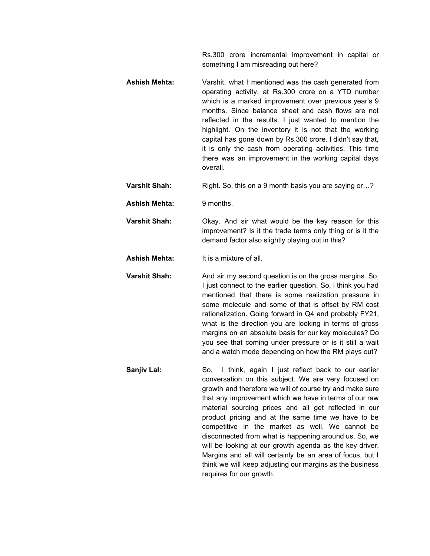Rs.300 crore incremental improvement in capital or something I am misreading out here?

- **Ashish Mehta:** Varshit, what I mentioned was the cash generated from operating activity, at Rs.300 crore on a YTD number which is a marked improvement over previous year's 9 months. Since balance sheet and cash flows are not reflected in the results, I just wanted to mention the highlight. On the inventory it is not that the working capital has gone down by Rs.300 crore. I didn't say that, it is only the cash from operating activities. This time there was an improvement in the working capital days overall.
- **Varshit Shah:** Right. So, this on a 9 month basis you are saying or...?
- **Ashish Mehta:** 9 months.
- **Varshit Shah:** Okay. And sir what would be the key reason for this improvement? Is it the trade terms only thing or is it the demand factor also slightly playing out in this?
- **Ashish Mehta:** It is a mixture of all.
- **Varshit Shah:** And sir my second question is on the gross margins. So, I just connect to the earlier question. So, I think you had mentioned that there is some realization pressure in some molecule and some of that is offset by RM cost rationalization. Going forward in Q4 and probably FY21, what is the direction you are looking in terms of gross margins on an absolute basis for our key molecules? Do you see that coming under pressure or is it still a wait and a watch mode depending on how the RM plays out?
- **Sanjiv Lal:** So, I think, again I just reflect back to our earlier conversation on this subject. We are very focused on growth and therefore we will of course try and make sure that any improvement which we have in terms of our raw material sourcing prices and all get reflected in our product pricing and at the same time we have to be competitive in the market as well. We cannot be disconnected from what is happening around us. So, we will be looking at our growth agenda as the key driver. Margins and all will certainly be an area of focus, but I think we will keep adjusting our margins as the business requires for our growth.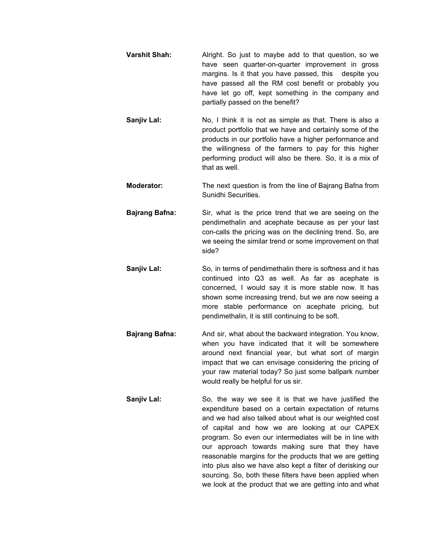- **Varshit Shah:** Alright. So just to maybe add to that question, so we have seen quarter-on-quarter improvement in gross margins. Is it that you have passed, this despite you have passed all the RM cost benefit or probably you have let go off, kept something in the company and partially passed on the benefit?
- **Sanjiv Lal:** No, I think it is not as simple as that. There is also a product portfolio that we have and certainly some of the products in our portfolio have a higher performance and the willingness of the farmers to pay for this higher performing product will also be there. So, it is a mix of that as well.
- **Moderator:** The next question is from the line of Bajrang Bafna from Sunidhi Securities.
- **Bajrang Bafna:** Sir, what is the price trend that we are seeing on the pendimethalin and acephate because as per your last con-calls the pricing was on the declining trend. So, are we seeing the similar trend or some improvement on that side?
- **Sanjiv Lal:** So, in terms of pendimethalin there is softness and it has continued into Q3 as well. As far as acephate is concerned, I would say it is more stable now. It has shown some increasing trend, but we are now seeing a more stable performance on acephate pricing, but pendimethalin, it is still continuing to be soft.
- **Bajrang Bafna:** And sir, what about the backward integration. You know, when you have indicated that it will be somewhere around next financial year, but what sort of margin impact that we can envisage considering the pricing of your raw material today? So just some ballpark number would really be helpful for us sir.
- **Sanjiv Lal:** So, the way we see it is that we have justified the expenditure based on a certain expectation of returns and we had also talked about what is our weighted cost of capital and how we are looking at our CAPEX program. So even our intermediates will be in line with our approach towards making sure that they have reasonable margins for the products that we are getting into plus also we have also kept a filter of derisking our sourcing. So, both these filters have been applied when we look at the product that we are getting into and what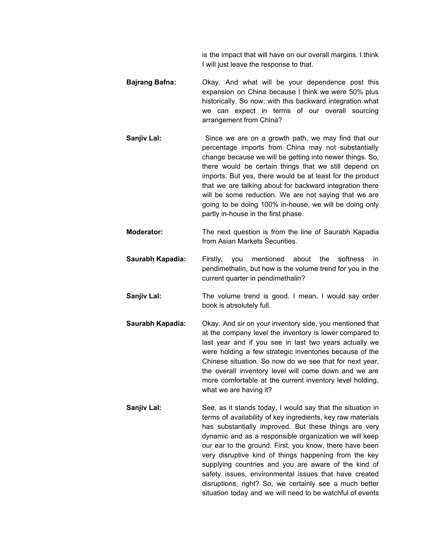is the impact that will have on our overall margins. I think I will just leave the response to that.

- **Bajrang Bafna:** Okay. And what will be your dependence post this expansion on China because I think we were 50% plus historically. So now, with this backward integration what we can expect in terms of our overall sourcing arrangement from China?
- **Sanjiv Lal:** Since we are on a growth path, we may find that our percentage imports from China may not substantially change because we will be getting into newer things. So, there would be certain things that we still depend on imports. But yes, there would be at least for the product that we are talking about for backward integration there will be some reduction. We are not saying that we are going to be doing 100% in-house, we will be doing only partly in-house in the first phase.
- **Moderator:** The next question is from the line of Saurabh Kapadia from Asian Markets Securities.
- **Saurabh Kapadia:** Firstly, you mentioned about the softness in pendimethalin, but how is the volume trend for you in the current quarter in pendimethalin?
- **Sanjiv Lal:** The volume trend is good. I mean, I would say order book is absolutely full.
- **Saurabh Kapadia:** Okay. And sir on your inventory side, you mentioned that at the company level the inventory is lower compared to last year and if you see in last two years actually we were holding a few strategic inventories because of the Chinese situation. So now do we see that for next year, the overall inventory level will come down and we are more comfortable at the current inventory level holding, what we are having it?
- **Sanjiv Lal:** See, as it stands today, I would say that the situation in terms of availability of key ingredients, key raw materials has substantially improved. But these things are very dynamic and as a responsible organization we will keep our ear to the ground. First, you know, there have been very disruptive kind of things happening from the key supplying countries and you are aware of the kind of safety issues, environmental issues that have created disruptions, right? So, we certainly see a much better situation today and we will need to be watchful of events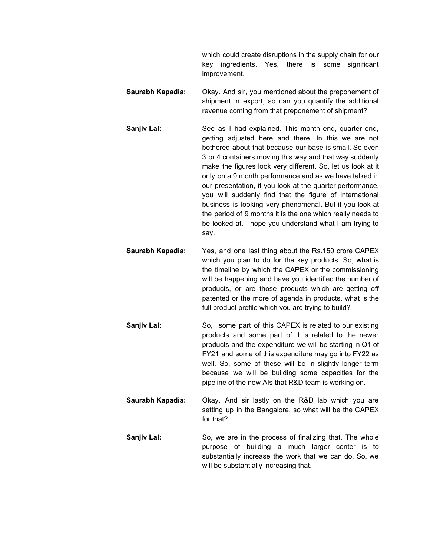which could create disruptions in the supply chain for our key ingredients. Yes, there is some significant improvement.

- **Saurabh Kapadia:** Okay. And sir, you mentioned about the preponement of shipment in export, so can you quantify the additional revenue coming from that preponement of shipment?
- **Sanjiv Lal:** See as I had explained. This month end, quarter end, getting adjusted here and there. In this we are not bothered about that because our base is small. So even 3 or 4 containers moving this way and that way suddenly make the figures look very different. So, let us look at it only on a 9 month performance and as we have talked in our presentation, if you look at the quarter performance, you will suddenly find that the figure of international business is looking very phenomenal. But if you look at the period of 9 months it is the one which really needs to be looked at. I hope you understand what I am trying to say.
- **Saurabh Kapadia:** Yes, and one last thing about the Rs.150 crore CAPEX which you plan to do for the key products. So, what is the timeline by which the CAPEX or the commissioning will be happening and have you identified the number of products, or are those products which are getting off patented or the more of agenda in products, what is the full product profile which you are trying to build?
- **Sanjiv Lal:** So, some part of this CAPEX is related to our existing products and some part of it is related to the newer products and the expenditure we will be starting in Q1 of FY21 and some of this expenditure may go into FY22 as well. So, some of these will be in slightly longer term because we will be building some capacities for the pipeline of the new AIs that R&D team is working on.
- **Saurabh Kapadia:** Okay. And sir lastly on the R&D lab which you are setting up in the Bangalore, so what will be the CAPEX for that?
- **Sanjiv Lal:** So, we are in the process of finalizing that. The whole purpose of building a much larger center is to substantially increase the work that we can do. So, we will be substantially increasing that.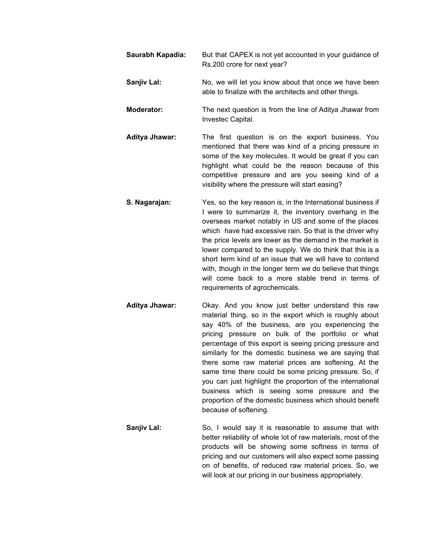- **Saurabh Kapadia:** But that CAPEX is not yet accounted in your guidance of Rs.200 crore for next year?
- **Sanjiv Lal:** No, we will let you know about that once we have been able to finalize with the architects and other things.
- **Moderator:** The next question is from the line of Aditya Jhawar from Investec Capital.
- **Aditya Jhawar:** The first question is on the export business. You mentioned that there was kind of a pricing pressure in some of the key molecules. It would be great if you can highlight what could be the reason because of this competitive pressure and are you seeing kind of a visibility where the pressure will start easing?
- **S. Nagarajan:** Yes, so the key reason is, in the International business if I were to summarize it, the inventory overhang in the overseas market notably in US and some of the places which have had excessive rain. So that is the driver why the price levels are lower as the demand in the market is lower compared to the supply. We do think that this is a short term kind of an issue that we will have to contend with, though in the longer term we do believe that things will come back to a more stable trend in terms of requirements of agrochemicals.
- **Aditya Jhawar:** Okay. And you know just better understand this raw material thing, so in the export which is roughly about say 40% of the business, are you experiencing the pricing pressure on bulk of the portfolio or what percentage of this export is seeing pricing pressure and similarly for the domestic business we are saying that there some raw material prices are softening. At the same time there could be some pricing pressure. So, if you can just highlight the proportion of the international business which is seeing some pressure and the proportion of the domestic business which should benefit because of softening.
- **Sanjiv Lal:** So, I would say it is reasonable to assume that with better reliability of whole lot of raw materials, most of the products will be showing some softness in terms of pricing and our customers will also expect some passing on of benefits, of reduced raw material prices. So, we will look at our pricing in our business appropriately.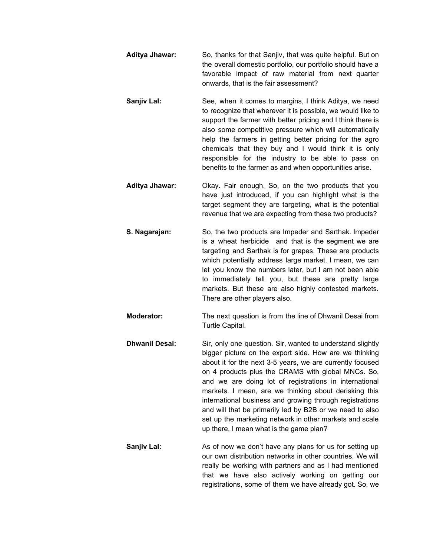- **Aditya Jhawar:** So, thanks for that Sanjiv, that was quite helpful. But on the overall domestic portfolio, our portfolio should have a favorable impact of raw material from next quarter onwards, that is the fair assessment?
- **Sanjiv Lal:** See, when it comes to margins, I think Aditya, we need to recognize that wherever it is possible, we would like to support the farmer with better pricing and I think there is also some competitive pressure which will automatically help the farmers in getting better pricing for the agro chemicals that they buy and I would think it is only responsible for the industry to be able to pass on benefits to the farmer as and when opportunities arise.
- **Aditya Jhawar:** Okay. Fair enough. So, on the two products that you have just introduced, if you can highlight what is the target segment they are targeting, what is the potential revenue that we are expecting from these two products?
- **S. Nagarajan:** So, the two products are Impeder and Sarthak. Impeder is a wheat herbicide and that is the segment we are targeting and Sarthak is for grapes. These are products which potentially address large market. I mean, we can let you know the numbers later, but I am not been able to immediately tell you, but these are pretty large markets. But these are also highly contested markets. There are other players also.
- **Moderator:** The next question is from the line of Dhwanil Desai from Turtle Capital.
- **Dhwanil Desai:** Sir, only one question. Sir, wanted to understand slightly bigger picture on the export side. How are we thinking about it for the next 3-5 years, we are currently focused on 4 products plus the CRAMS with global MNCs. So, and we are doing lot of registrations in international markets. I mean, are we thinking about derisking this international business and growing through registrations and will that be primarily led by B2B or we need to also set up the marketing network in other markets and scale up there, I mean what is the game plan?
- **Sanjiv Lal:** As of now we don't have any plans for us for setting up our own distribution networks in other countries. We will really be working with partners and as I had mentioned that we have also actively working on getting our registrations, some of them we have already got. So, we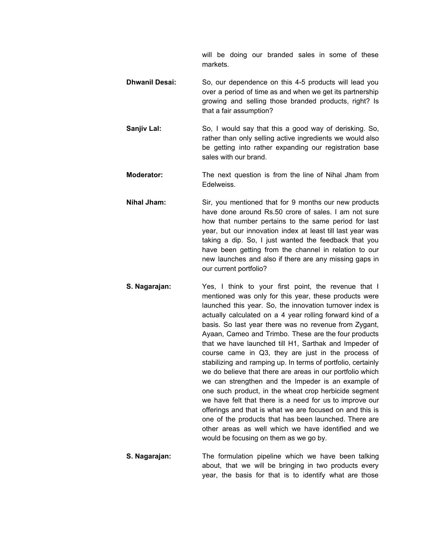will be doing our branded sales in some of these markets.

- **Dhwanil Desai:** So, our dependence on this 4-5 products will lead you over a period of time as and when we get its partnership growing and selling those branded products, right? Is that a fair assumption?
- **Sanjiv Lal:** So, I would say that this a good way of derisking. So, rather than only selling active ingredients we would also be getting into rather expanding our registration base sales with our brand.
- **Moderator:** The next question is from the line of Nihal Jham from Edelweiss.
- **Nihal Jham:** Sir, you mentioned that for 9 months our new products have done around Rs.50 crore of sales. I am not sure how that number pertains to the same period for last year, but our innovation index at least till last year was taking a dip. So, I just wanted the feedback that you have been getting from the channel in relation to our new launches and also if there are any missing gaps in our current portfolio?
- **S. Nagarajan:** Yes, I think to your first point, the revenue that I mentioned was only for this year, these products were launched this year. So, the innovation turnover index is actually calculated on a 4 year rolling forward kind of a basis. So last year there was no revenue from Zygant, Ayaan, Cameo and Trimbo. These are the four products that we have launched till H1, Sarthak and Impeder of course came in Q3, they are just in the process of stabilizing and ramping up. In terms of portfolio, certainly we do believe that there are areas in our portfolio which we can strengthen and the Impeder is an example of one such product, in the wheat crop herbicide segment we have felt that there is a need for us to improve our offerings and that is what we are focused on and this is one of the products that has been launched. There are other areas as well which we have identified and we would be focusing on them as we go by.
- **S. Nagarajan:** The formulation pipeline which we have been talking about, that we will be bringing in two products every year, the basis for that is to identify what are those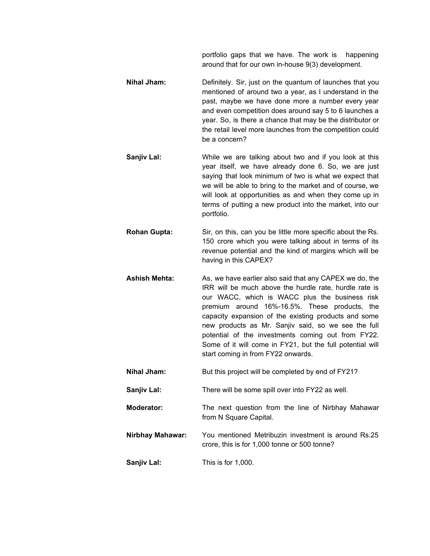portfolio gaps that we have. The work is happening around that for our own in-house 9(3) development.

- **Nihal Jham:** Definitely. Sir, just on the quantum of launches that you mentioned of around two a year, as I understand in the past, maybe we have done more a number every year and even competition does around say 5 to 6 launches a year. So, is there a chance that may be the distributor or the retail level more launches from the competition could be a concern?
- **Sanjiv Lal:** While we are talking about two and if you look at this year itself, we have already done 6. So, we are just saying that look minimum of two is what we expect that we will be able to bring to the market and of course, we will look at opportunities as and when they come up in terms of putting a new product into the market, into our portfolio.
- **Rohan Gupta:** Sir, on this, can you be little more specific about the Rs. 150 crore which you were talking about in terms of its revenue potential and the kind of margins which will be having in this CAPEX?
- **Ashish Mehta:** As, we have earlier also said that any CAPEX we do, the IRR will be much above the hurdle rate, hurdle rate is our WACC, which is WACC plus the business risk premium around 16%-16.5%. These products, the capacity expansion of the existing products and some new products as Mr. Sanjiv said, so we see the full potential of the investments coming out from FY22. Some of it will come in FY21, but the full potential will start coming in from FY22 onwards.
- **Nihal Jham:** But this project will be completed by end of FY21?
- **Sanjiv Lal:** There will be some spill over into FY22 as well.
- **Moderator:** The next question from the line of Nirbhay Mahawar from N Square Capital.
- **Nirbhay Mahawar:** You mentioned Metribuzin investment is around Rs.25 crore, this is for 1,000 tonne or 500 tonne?

**Sanjiv Lal:** This is for 1,000.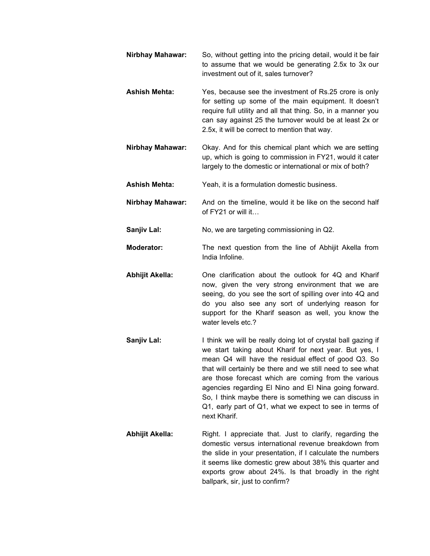- **Nirbhay Mahawar:** So, without getting into the pricing detail, would it be fair to assume that we would be generating 2.5x to 3x our investment out of it, sales turnover? **Ashish Mehta:** Yes, because see the investment of Rs.25 crore is only for setting up some of the main equipment. It doesn't require full utility and all that thing. So, in a manner you can say against 25 the turnover would be at least 2x or 2.5x, it will be correct to mention that way. **Nirbhay Mahawar:** Okay. And for this chemical plant which we are setting up, which is going to commission in FY21, would it cater largely to the domestic or international or mix of both? **Ashish Mehta:** Yeah, it is a formulation domestic business. **Nirbhay Mahawar:** And on the timeline, would it be like on the second half of FY21 or will it… **Sanjiv Lal:** No, we are targeting commissioning in Q2. **Moderator:** The next question from the line of Abhijit Akella from India Infoline. **Abhijit Akella:** One clarification about the outlook for 4Q and Kharif now, given the very strong environment that we are seeing, do you see the sort of spilling over into 4Q and do you also see any sort of underlying reason for support for the Kharif season as well, you know the water levels etc.? **Sanjiv Lal:** I think we will be really doing lot of crystal ball gazing if we start taking about Kharif for next year. But yes, I mean Q4 will have the residual effect of good Q3. So that will certainly be there and we still need to see what are those forecast which are coming from the various agencies regarding El Nino and El Nina going forward. So, I think maybe there is something we can discuss in Q1, early part of Q1, what we expect to see in terms of next Kharif. **Abhijit Akella:** Right. I appreciate that. Just to clarify, regarding the
	- domestic versus international revenue breakdown from the slide in your presentation, if I calculate the numbers it seems like domestic grew about 38% this quarter and exports grow about 24%. Is that broadly in the right ballpark, sir, just to confirm?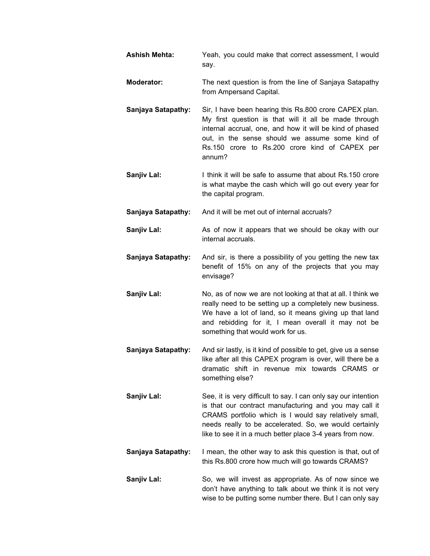| <b>Ashish Mehta:</b>      | Yeah, you could make that correct assessment, I would<br>say.                                                                                                                                                                                                                                             |
|---------------------------|-----------------------------------------------------------------------------------------------------------------------------------------------------------------------------------------------------------------------------------------------------------------------------------------------------------|
| <b>Moderator:</b>         | The next question is from the line of Sanjaya Satapathy<br>from Ampersand Capital.                                                                                                                                                                                                                        |
| Sanjaya Satapathy:        | Sir, I have been hearing this Rs.800 crore CAPEX plan.<br>My first question is that will it all be made through<br>internal accrual, one, and how it will be kind of phased<br>out, in the sense should we assume some kind of<br>Rs.150 crore to Rs.200 crore kind of CAPEX per<br>annum?                |
| Sanjiv Lal:               | I think it will be safe to assume that about Rs.150 crore<br>is what maybe the cash which will go out every year for<br>the capital program.                                                                                                                                                              |
| <b>Sanjaya Satapathy:</b> | And it will be met out of internal accruals?                                                                                                                                                                                                                                                              |
| <b>Sanjiv Lal:</b>        | As of now it appears that we should be okay with our<br>internal accruals.                                                                                                                                                                                                                                |
| Sanjaya Satapathy:        | And sir, is there a possibility of you getting the new tax<br>benefit of 15% on any of the projects that you may<br>envisage?                                                                                                                                                                             |
| Sanjiv Lal:               | No, as of now we are not looking at that at all. I think we<br>really need to be setting up a completely new business.<br>We have a lot of land, so it means giving up that land<br>and rebidding for it, I mean overall it may not be<br>something that would work for us.                               |
| <b>Sanjaya Satapathy:</b> | And sir lastly, is it kind of possible to get, give us a sense<br>like after all this CAPEX program is over, will there be a<br>dramatic shift in revenue mix towards CRAMS or<br>something else?                                                                                                         |
| Sanjiv Lal:               | See, it is very difficult to say. I can only say our intention<br>is that our contract manufacturing and you may call it<br>CRAMS portfolio which is I would say relatively small,<br>needs really to be accelerated. So, we would certainly<br>like to see it in a much better place 3-4 years from now. |
| <b>Sanjaya Satapathy:</b> | I mean, the other way to ask this question is that, out of<br>this Rs.800 crore how much will go towards CRAMS?                                                                                                                                                                                           |
| Sanjiv Lal:               | So, we will invest as appropriate. As of now since we<br>don't have anything to talk about we think it is not very<br>wise to be putting some number there. But I can only say                                                                                                                            |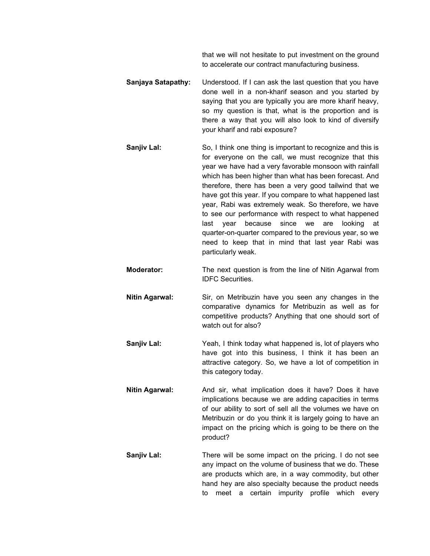that we will not hesitate to put investment on the ground to accelerate our contract manufacturing business.

- **Sanjaya Satapathy:** Understood. If I can ask the last question that you have done well in a non-kharif season and you started by saying that you are typically you are more kharif heavy, so my question is that, what is the proportion and is there a way that you will also look to kind of diversify your kharif and rabi exposure?
- **Sanjiv Lal:** So, I think one thing is important to recognize and this is for everyone on the call, we must recognize that this year we have had a very favorable monsoon with rainfall which has been higher than what has been forecast. And therefore, there has been a very good tailwind that we have got this year. If you compare to what happened last year, Rabi was extremely weak. So therefore, we have to see our performance with respect to what happened last year because since we are looking at quarter-on-quarter compared to the previous year, so we need to keep that in mind that last year Rabi was particularly weak.
- **Moderator:** The next question is from the line of Nitin Agarwal from IDFC Securities.
- **Nitin Agarwal:** Sir, on Metribuzin have you seen any changes in the comparative dynamics for Metribuzin as well as for competitive products? Anything that one should sort of watch out for also?
- **Sanjiv Lal:** Yeah, I think today what happened is, lot of players who have got into this business, I think it has been an attractive category. So, we have a lot of competition in this category today.
- **Nitin Agarwal:** And sir, what implication does it have? Does it have implications because we are adding capacities in terms of our ability to sort of sell all the volumes we have on Metribuzin or do you think it is largely going to have an impact on the pricing which is going to be there on the product?
- **Sanjiv Lal:** There will be some impact on the pricing. I do not see any impact on the volume of business that we do. These are products which are, in a way commodity, but other hand hey are also specialty because the product needs to meet a certain impurity profile which every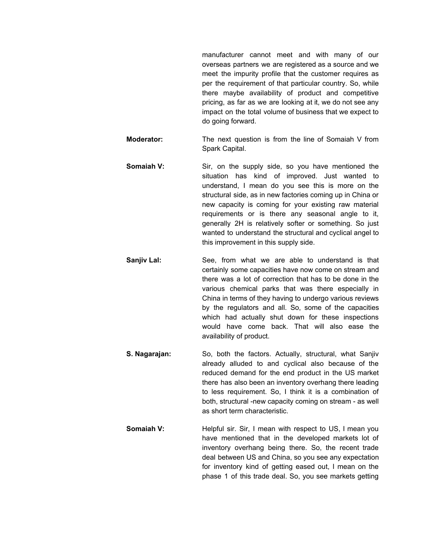manufacturer cannot meet and with many of our overseas partners we are registered as a source and we meet the impurity profile that the customer requires as per the requirement of that particular country. So, while there maybe availability of product and competitive pricing, as far as we are looking at it, we do not see any impact on the total volume of business that we expect to do going forward.

- **Moderator:** The next question is from the line of Somaiah V from Spark Capital.
- **Somaiah V:** Sir, on the supply side, so you have mentioned the situation has kind of improved. Just wanted to understand, I mean do you see this is more on the structural side, as in new factories coming up in China or new capacity is coming for your existing raw material requirements or is there any seasonal angle to it, generally 2H is relatively softer or something. So just wanted to understand the structural and cyclical angel to this improvement in this supply side.
- **Sanjiv Lal:** See, from what we are able to understand is that certainly some capacities have now come on stream and there was a lot of correction that has to be done in the various chemical parks that was there especially in China in terms of they having to undergo various reviews by the regulators and all. So, some of the capacities which had actually shut down for these inspections would have come back. That will also ease the availability of product.
- **S. Nagarajan:** So, both the factors. Actually, structural, what Sanjiv already alluded to and cyclical also because of the reduced demand for the end product in the US market there has also been an inventory overhang there leading to less requirement. So, I think it is a combination of both, structural -new capacity coming on stream - as well as short term characteristic.
- **Somaiah V:** Helpful sir. Sir, I mean with respect to US, I mean you have mentioned that in the developed markets lot of inventory overhang being there. So, the recent trade deal between US and China, so you see any expectation for inventory kind of getting eased out, I mean on the phase 1 of this trade deal. So, you see markets getting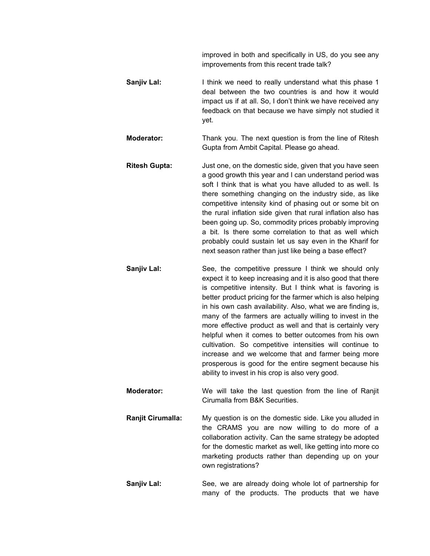improved in both and specifically in US, do you see any improvements from this recent trade talk?

**Sanjiv Lal:** I think we need to really understand what this phase 1 deal between the two countries is and how it would impact us if at all. So, I don't think we have received any feedback on that because we have simply not studied it yet.

**Moderator:** Thank you. The next question is from the line of Ritesh Gupta from Ambit Capital. Please go ahead.

- **Ritesh Gupta:** Just one, on the domestic side, given that you have seen a good growth this year and I can understand period was soft I think that is what you have alluded to as well. Is there something changing on the industry side, as like competitive intensity kind of phasing out or some bit on the rural inflation side given that rural inflation also has been going up. So, commodity prices probably improving a bit. Is there some correlation to that as well which probably could sustain let us say even in the Kharif for next season rather than just like being a base effect?
- **Sanjiv Lal:** See, the competitive pressure I think we should only expect it to keep increasing and it is also good that there is competitive intensity. But I think what is favoring is better product pricing for the farmer which is also helping in his own cash availability. Also, what we are finding is, many of the farmers are actually willing to invest in the more effective product as well and that is certainly very helpful when it comes to better outcomes from his own cultivation. So competitive intensities will continue to increase and we welcome that and farmer being more prosperous is good for the entire segment because his ability to invest in his crop is also very good.
- **Moderator:** We will take the last question from the line of Ranjit Cirumalla from B&K Securities.
- **Ranjit Cirumalla:** My question is on the domestic side. Like you alluded in the CRAMS you are now willing to do more of a collaboration activity. Can the same strategy be adopted for the domestic market as well, like getting into more co marketing products rather than depending up on your own registrations?

**Sanjiv Lal:** See, we are already doing whole lot of partnership for many of the products. The products that we have